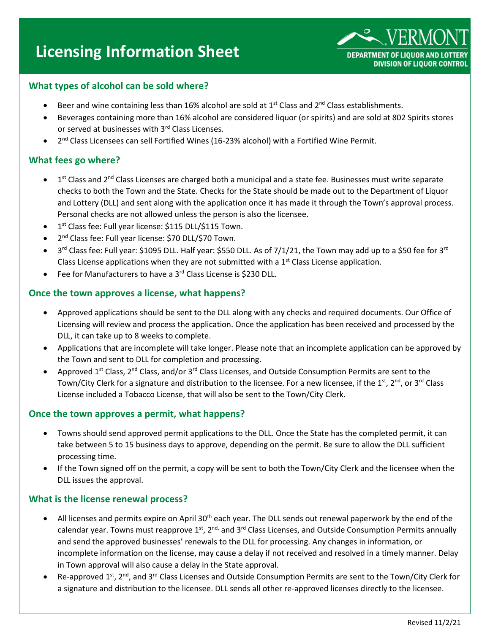# **Licensing Information Sheet**



# **What types of alcohol can be sold where?**

- Beer and wine containing less than 16% alcohol are sold at  $1<sup>st</sup>$  Class and  $2<sup>nd</sup>$  Class establishments.
- Beverages containing more than 16% alcohol are considered liquor (or spirits) and are sold at 802 Spirits stores or served at businesses with 3<sup>rd</sup> Class Licenses.
- 2<sup>nd</sup> Class Licensees can sell Fortified Wines (16-23% alcohol) with a Fortified Wine Permit.

## **What fees go where?**

- $\bullet$  1<sup>st</sup> Class and 2<sup>nd</sup> Class Licenses are charged both a municipal and a state fee. Businesses must write separate checks to both the Town and the State. Checks for the State should be made out to the Department of Liquor and Lottery (DLL) and sent along with the application once it has made it through the Town's approval process. Personal checks are not allowed unless the person is also the licensee.
- **•** 1<sup>st</sup> Class fee: Full year license: \$115 DLL/\$115 Town.
- 2<sup>nd</sup> Class fee: Full year license: \$70 DLL/\$70 Town.
- 3<sup>rd</sup> Class fee: Full year: \$1095 DLL. Half year: \$550 DLL. As of 7/1/21, the Town may add up to a \$50 fee for 3<sup>rd</sup> Class License applications when they are not submitted with a  $1<sup>st</sup>$  Class License application.
- Fee for Manufacturers to have a 3rd Class License is \$230 DLL.

## **Once the town approves a license, what happens?**

- Approved applications should be sent to the DLL along with any checks and required documents. Our Office of Licensing will review and process the application. Once the application has been received and processed by the DLL, it can take up to 8 weeks to complete.
- Applications that are incomplete will take longer. Please note that an incomplete application can be approved by the Town and sent to DLL for completion and processing.
- Approved 1<sup>st</sup> Class, 2<sup>nd</sup> Class, and/or 3<sup>rd</sup> Class Licenses, and Outside Consumption Permits are sent to the Town/City Clerk for a signature and distribution to the licensee. For a new licensee, if the 1<sup>st</sup>, 2<sup>nd</sup>, or 3<sup>rd</sup> Class License included a Tobacco License, that will also be sent to the Town/City Clerk.

#### **Once the town approves a permit, what happens?**

- Towns should send approved permit applications to the DLL. Once the State has the completed permit, it can take between 5 to 15 business days to approve, depending on the permit. Be sure to allow the DLL sufficient processing time.
- If the Town signed off on the permit, a copy will be sent to both the Town/City Clerk and the licensee when the DLL issues the approval.

## **What is the license renewal process?**

- All licenses and permits expire on April 30<sup>th</sup> each year. The DLL sends out renewal paperwork by the end of the calendar year. Towns must reapprove 1<sup>st</sup>, 2<sup>nd,</sup> and 3<sup>rd</sup> Class Licenses, and Outside Consumption Permits annually and send the approved businesses' renewals to the DLL for processing. Any changes in information, or incomplete information on the license, may cause a delay if not received and resolved in a timely manner. Delay in Town approval will also cause a delay in the State approval.
- Re-approved 1<sup>st</sup>, 2<sup>nd</sup>, and 3<sup>rd</sup> Class Licenses and Outside Consumption Permits are sent to the Town/City Clerk for a signature and distribution to the licensee. DLL sends all other re-approved licenses directly to the licensee.